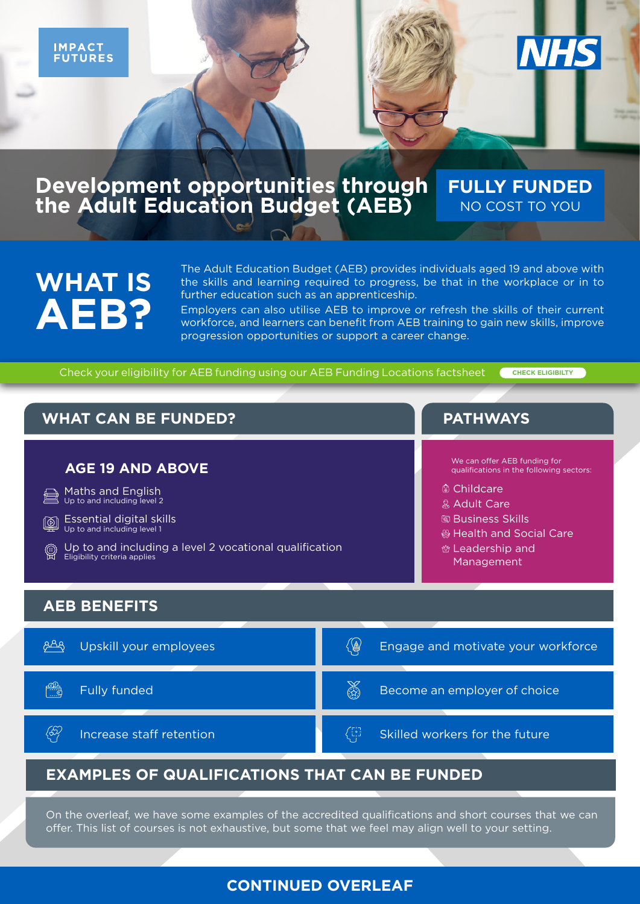#### **Development opportunities through the Adult Education Budget (AEB) FULLY FUNDED** NO COST TO YOU

# **WHAT IS AEB?**

The Adult Education Budget (AEB) provides individuals aged 19 and above with the skills and learning required to progress, be that in the workplace or in to further education such as an apprenticeship.

Employers can also utilise AEB to improve or refresh the skills of their current workforce, and learners can benefit from AEB training to gain new skills, improve progression opportunities or support a career change.

Check your eligibility for AEB funding using our AEB Funding Locations factsheet

**[CHECK ELIGIBILTY](https://impactfutures.co.uk/wp-content/uploads/2021/10/IF-NHS-AEB-Locations-Funding-Checker-Factsheet.pdf)**

**NHS** 



On the overleaf, we have some examples of the accredited qualifications and short courses that we can offer. This list of courses is not exhaustive, but some that we feel may align well to your setting.

#### **CONTINUED OVERLEAF**